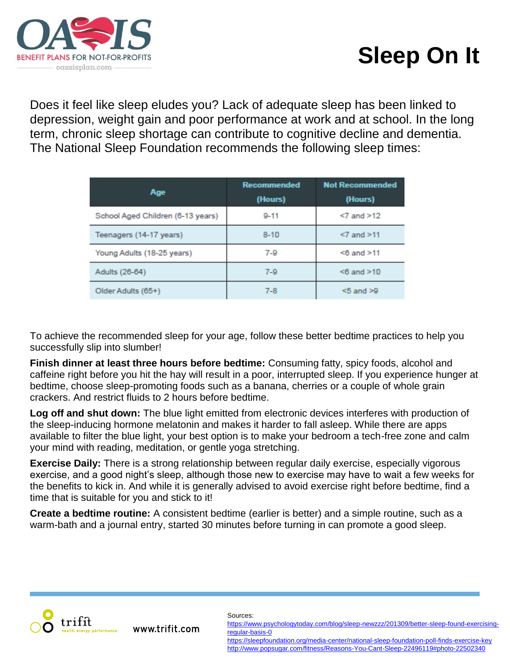

## **Sleep On It**

Does it feel like sleep eludes you? Lack of adequate sleep has been linked to depression, weight gain and poor performance at work and at school. In the long term, chronic sleep shortage can contribute to cognitive decline and dementia. The National Sleep Foundation recommends the following sleep times:

| Age                               | Recommended<br>(Hours) | <b>Not Recommended</b><br>(Hours) |
|-----------------------------------|------------------------|-----------------------------------|
| School Aged Children (6-13 years) | $9 - 11$               | $<7$ and $>12$                    |
| Teenagers (14-17 years)           | $8 - 10$               | $<7$ and $>11$                    |
| Young Adults (18-25 years)        | $7-9$                  | $< 6$ and $> 11$                  |
| Adults (26-64)                    | $7-9$                  | $< 6$ and $> 10$                  |
| Older Adults (65+)                | $7 - 8$                | $< 5$ and $> 9$                   |

To achieve the recommended sleep for your age, follow these better bedtime practices to help you successfully slip into slumber!

**Finish dinner at least three hours before bedtime:** Consuming fatty, spicy foods, alcohol and caffeine right before you hit the hay will result in a poor, interrupted sleep. If you experience hunger at bedtime, choose sleep-promoting foods such as a banana, cherries or a couple of whole grain crackers. And restrict fluids to 2 hours before bedtime.

**Log off and shut down:** The blue light emitted from electronic devices interferes with production of the sleep-inducing hormone melatonin and makes it harder to fall asleep. While there are apps available to filter the blue light, your best option is to make your bedroom a tech-free zone and calm your mind with reading, meditation, or gentle yoga stretching.

**Exercise Daily:** There is a strong relationship between regular daily exercise, especially vigorous exercise, and a good night's sleep, although those new to exercise may have to wait a few weeks for the benefits to kick in. And while it is generally advised to avoid exercise right before bedtime, find a time that is suitable for you and stick to it!

**Create a bedtime routine:** A consistent bedtime (earlier is better) and a simple routine, such as a warm-bath and a journal entry, started 30 minutes before turning in can promote a good sleep.



www.trifit.com

## Sources:

[https://www.psychologytoday.com/blog/sleep-newzzz/201309/better-sleep-found-exercising](https://www.psychologytoday.com/blog/sleep-newzzz/201309/better-sleep-found-exercising-regular-basis-0)[regular-basis-0](https://www.psychologytoday.com/blog/sleep-newzzz/201309/better-sleep-found-exercising-regular-basis-0)

<https://sleepfoundation.org/media-center/national-sleep-foundation-poll-finds-exercise-key> <http://www.popsugar.com/fitness/Reasons-You-Cant-Sleep-22496119#photo-22502340>